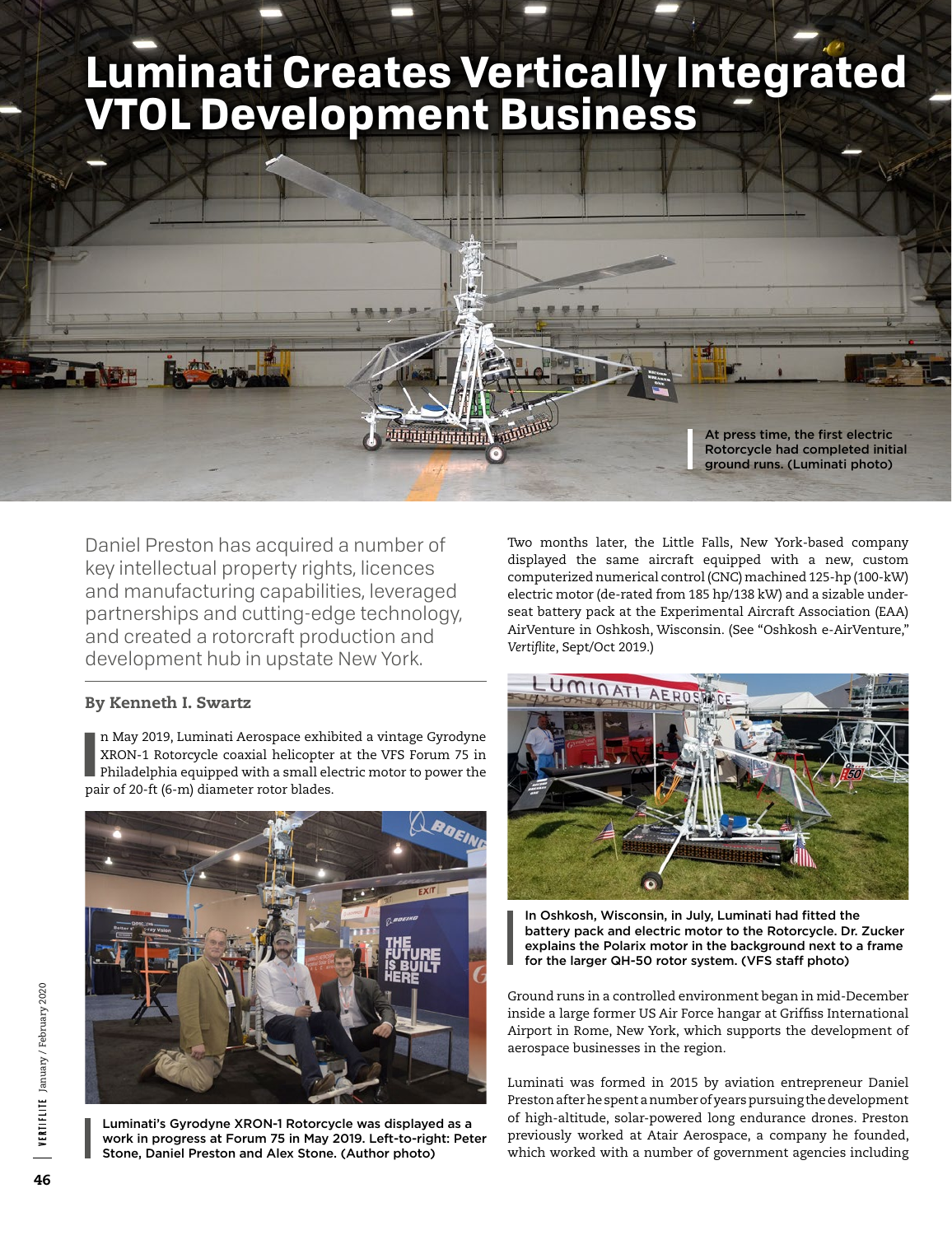# **Luminati Creates Vertically Integrated VTOL Development Business**



Daniel Preston has acquired a number of key intellectual property rights, licences and manufacturing capabilities, leveraged partnerships and cutting-edge technology, and created a rotorcraft production and development hub in upstate New York.

# By Kenneth I. Swartz

n May 2019, Luminati Aerospace exhibitand a RRON-1 Rotorcycle coaxial helicopter<br>Philadelphia equipped with a small ele<br>pair of 20-ft (6-m) diameter rotor blades. n May 2019, Luminati Aerospace exhibited a vintage Gyrodyne XRON-1 Rotorcycle coaxial helicopter at the VFS Forum 75 in Philadelphia equipped with a small electric motor to power the



Luminati's Gyrodyne XRON-1 Rotorcycle was displayed as a work in progress at Forum 75 in May 2019. Left-to-right: Peter Stone, Daniel Preston and Alex Stone. (Author photo)

Two months later, the Little Falls, New York-based company displayed the same aircraft equipped with a new, custom computerized numerical control (CNC) machined 125-hp (100-kW) electric motor (de-rated from 185 hp/138 kW) and a sizable underseat battery pack at the Experimental Aircraft Association (EAA) AirVenture in Oshkosh, Wisconsin. (See "Oshkosh e-AirVenture," *Vertiflite*, Sept/Oct 2019.)



In Oshkosh, Wisconsin, in July, Luminati had fitted the battery pack and electric motor to the Rotorcycle. Dr. Zucker explains the Polarix motor in the background next to a frame for the larger QH-50 rotor system. (VFS staff photo)

Ground runs in a controlled environment began in mid-December inside a large former US Air Force hangar at Griffiss International Airport in Rome, New York, which supports the development of aerospace businesses in the region.

Luminati was formed in 2015 by aviation entrepreneur Daniel Preston after he spent a number of years pursuing the development of high-altitude, solar-powered long endurance drones. Preston previously worked at Atair Aerospace, a company he founded, which worked with a number of government agencies including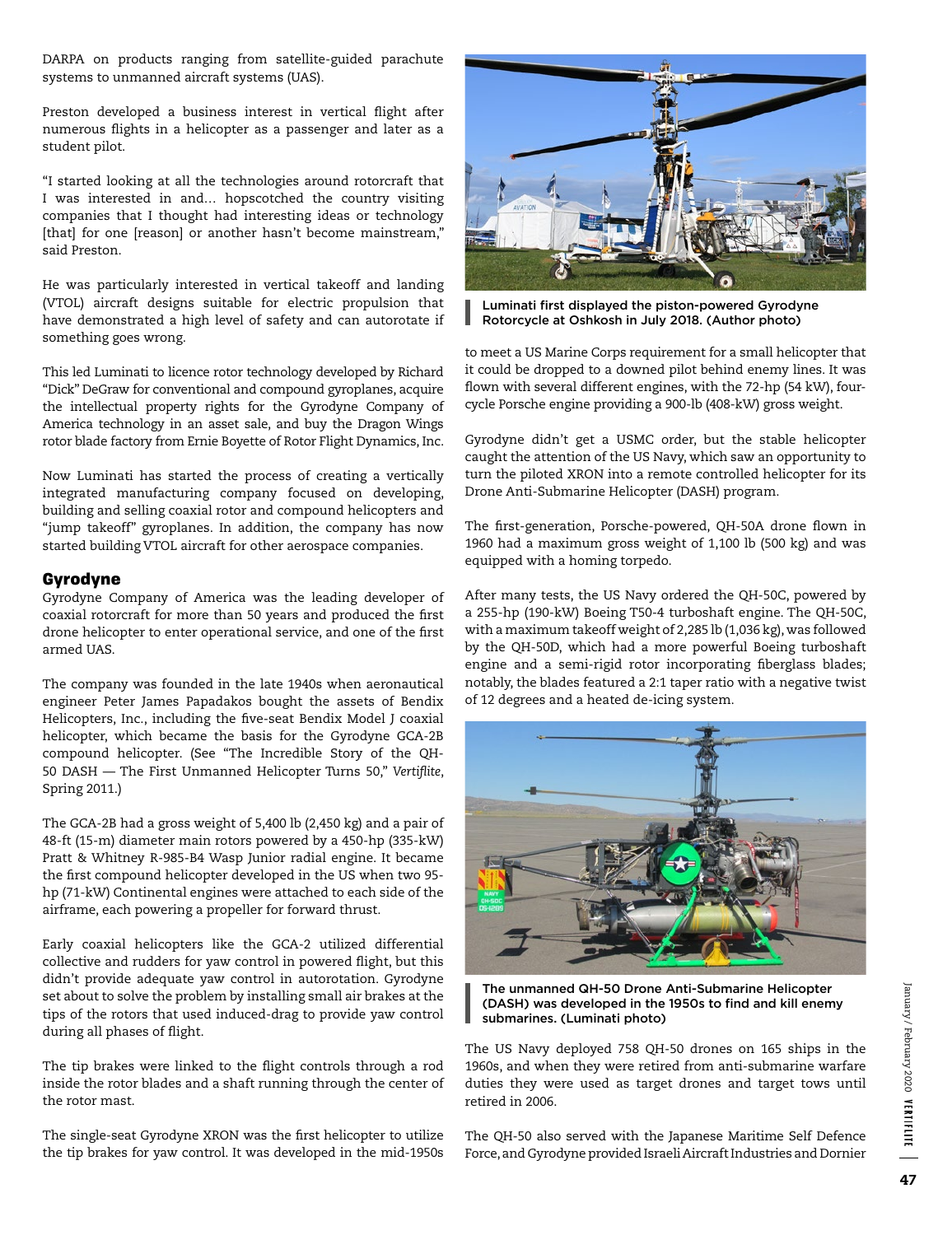DARPA on products ranging from satellite-guided parachute systems to unmanned aircraft systems (UAS).

Preston developed a business interest in vertical flight after numerous flights in a helicopter as a passenger and later as a student pilot.

"I started looking at all the technologies around rotorcraft that I was interested in and… hopscotched the country visiting companies that I thought had interesting ideas or technology [that] for one [reason] or another hasn't become mainstream," said Preston.

He was particularly interested in vertical takeoff and landing (VTOL) aircraft designs suitable for electric propulsion that have demonstrated a high level of safety and can autorotate if something goes wrong.

This led Luminati to licence rotor technology developed by Richard "Dick" DeGraw for conventional and compound gyroplanes, acquire the intellectual property rights for the Gyrodyne Company of America technology in an asset sale, and buy the Dragon Wings rotor blade factory from Ernie Boyette of Rotor Flight Dynamics, Inc.

Now Luminati has started the process of creating a vertically integrated manufacturing company focused on developing, building and selling coaxial rotor and compound helicopters and "jump takeoff" gyroplanes. In addition, the company has now started building VTOL aircraft for other aerospace companies.

## Gyrodyne

Gyrodyne Company of America was the leading developer of coaxial rotorcraft for more than 50 years and produced the first drone helicopter to enter operational service, and one of the first armed UAS.

The company was founded in the late 1940s when aeronautical engineer Peter James Papadakos bought the assets of Bendix Helicopters, Inc., including the five-seat Bendix Model J coaxial helicopter, which became the basis for the Gyrodyne GCA-2B compound helicopter. (See "The Incredible Story of the QH-50 DASH — The First Unmanned Helicopter Turns 50," *Vertiflite*, Spring 2011.)

The GCA-2B had a gross weight of 5,400 lb (2,450 kg) and a pair of 48-ft (15-m) diameter main rotors powered by a 450-hp (335-kW) Pratt & Whitney R-985-B4 Wasp Junior radial engine. It became the first compound helicopter developed in the US when two 95 hp (71-kW) Continental engines were attached to each side of the airframe, each powering a propeller for forward thrust.

Early coaxial helicopters like the GCA-2 utilized differential collective and rudders for yaw control in powered flight, but this didn't provide adequate yaw control in autorotation. Gyrodyne set about to solve the problem by installing small air brakes at the tips of the rotors that used induced-drag to provide yaw control during all phases of flight.

The tip brakes were linked to the flight controls through a rod inside the rotor blades and a shaft running through the center of the rotor mast.

The single-seat Gyrodyne XRON was the first helicopter to utilize the tip brakes for yaw control. It was developed in the mid-1950s



Luminati first displayed the piston-powered Gyrodyne Rotorcycle at Oshkosh in July 2018. (Author photo)

to meet a US Marine Corps requirement for a small helicopter that it could be dropped to a downed pilot behind enemy lines. It was flown with several different engines, with the 72-hp (54 kW), fourcycle Porsche engine providing a 900-lb (408-kW) gross weight.

Gyrodyne didn't get a USMC order, but the stable helicopter caught the attention of the US Navy, which saw an opportunity to turn the piloted XRON into a remote controlled helicopter for its Drone Anti-Submarine Helicopter (DASH) program.

The first-generation, Porsche-powered, QH-50A drone flown in 1960 had a maximum gross weight of 1,100 lb (500 kg) and was equipped with a homing torpedo.

After many tests, the US Navy ordered the QH-50C, powered by a 255-hp (190-kW) Boeing T50-4 turboshaft engine. The QH-50C, with a maximum takeoff weight of 2,285 lb (1,036 kg), was followed by the QH-50D, which had a more powerful Boeing turboshaft engine and a semi-rigid rotor incorporating fiberglass blades; notably, the blades featured a 2:1 taper ratio with a negative twist of 12 degrees and a heated de-icing system.



The unmanned QH-50 Drone Anti-Submarine Helicopter (DASH) was developed in the 1950s to find and kill enemy submarines. (Luminati photo)

The US Navy deployed 758 QH-50 drones on 165 ships in the 1960s, and when they were retired from anti-submarine warfare duties they were used as target drones and target tows until retired in 2006.

The QH-50 also served with the Japanese Maritime Self Defence Force, and Gyrodyne provided Israeli Aircraft Industries and Dornier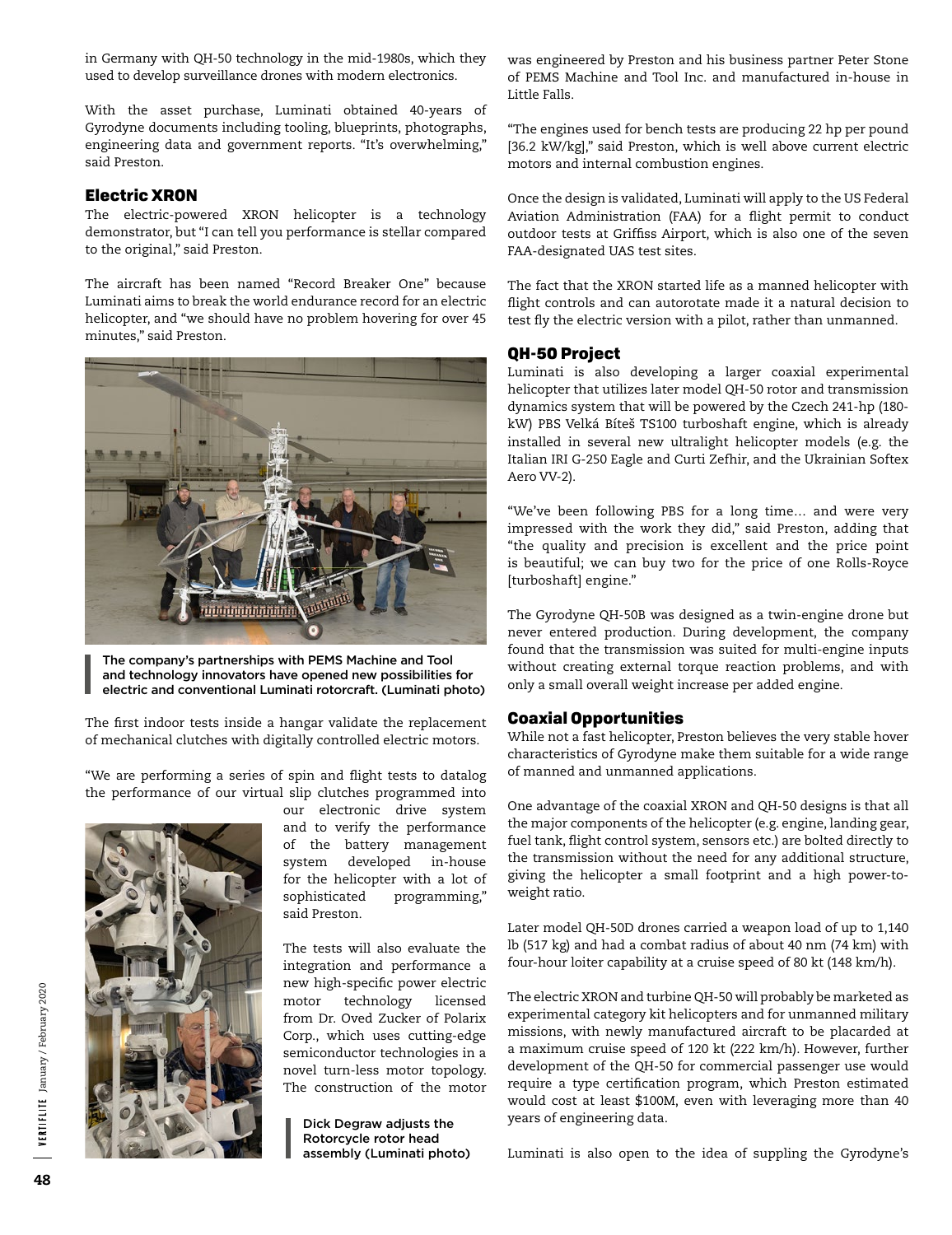in Germany with QH-50 technology in the mid-1980s, which they used to develop surveillance drones with modern electronics.

With the asset purchase, Luminati obtained 40-years of Gyrodyne documents including tooling, blueprints, photographs, engineering data and government reports. "It's overwhelming," said Preston.

### Electric XRON

The electric-powered XRON helicopter is a technology demonstrator, but "I can tell you performance is stellar compared to the original," said Preston.

The aircraft has been named "Record Breaker One" because Luminati aims to break the world endurance record for an electric helicopter, and "we should have no problem hovering for over 45 minutes," said Preston.



The company's partnerships with PEMS Machine and Tool and technology innovators have opened new possibilities for electric and conventional Luminati rotorcraft. (Luminati photo)

The first indoor tests inside a hangar validate the replacement of mechanical clutches with digitally controlled electric motors.

"We are performing a series of spin and flight tests to datalog the performance of our virtual slip clutches programmed into



our electronic drive system and to verify the performance of the battery management system developed in-house for the helicopter with a lot of sophisticated programming," said Preston.

The tests will also evaluate the integration and performance a new high-specific power electric motor technology licensed from Dr. Oved Zucker of Polarix Corp., which uses cutting-edge semiconductor technologies in a novel turn-less motor topology. The construction of the motor

Dick Degraw adjusts the Rotorcycle rotor head assembly (Luminati photo) was engineered by Preston and his business partner Peter Stone of PEMS Machine and Tool Inc. and manufactured in-house in Little Falls.

"The engines used for bench tests are producing 22 hp per pound [36.2 kW/kg]," said Preston, which is well above current electric motors and internal combustion engines.

Once the design is validated, Luminati will apply to the US Federal Aviation Administration (FAA) for a flight permit to conduct outdoor tests at Griffiss Airport, which is also one of the seven FAA-designated UAS test sites.

The fact that the XRON started life as a manned helicopter with flight controls and can autorotate made it a natural decision to test fly the electric version with a pilot, rather than unmanned.

#### QH-50 Project

Luminati is also developing a larger coaxial experimental helicopter that utilizes later model QH-50 rotor and transmission dynamics system that will be powered by the Czech 241-hp (180 kW) PBS Velká Bíteš TS100 turboshaft engine, which is already installed in several new ultralight helicopter models (e.g. the Italian IRI G-250 Eagle and Curti Zefhir, and the Ukrainian Softex Aero VV-2).

"We've been following PBS for a long time… and were very impressed with the work they did," said Preston, adding that "the quality and precision is excellent and the price point is beautiful; we can buy two for the price of one Rolls-Royce [turboshaft] engine."

The Gyrodyne QH-50B was designed as a twin-engine drone but never entered production. During development, the company found that the transmission was suited for multi-engine inputs without creating external torque reaction problems, and with only a small overall weight increase per added engine.

#### Coaxial Opportunities

While not a fast helicopter, Preston believes the very stable hover characteristics of Gyrodyne make them suitable for a wide range of manned and unmanned applications.

One advantage of the coaxial XRON and QH-50 designs is that all the major components of the helicopter (e.g. engine, landing gear, fuel tank, flight control system, sensors etc.) are bolted directly to the transmission without the need for any additional structure, giving the helicopter a small footprint and a high power-toweight ratio.

Later model QH-50D drones carried a weapon load of up to 1,140 lb (517 kg) and had a combat radius of about 40 nm (74 km) with four-hour loiter capability at a cruise speed of 80 kt (148 km/h).

The electric XRON and turbine QH-50 will probably be marketed as experimental category kit helicopters and for unmanned military missions, with newly manufactured aircraft to be placarded at a maximum cruise speed of 120 kt (222 km/h). However, further development of the QH-50 for commercial passenger use would require a type certification program, which Preston estimated would cost at least \$100M, even with leveraging more than 40 years of engineering data.

Luminati is also open to the idea of suppling the Gyrodyne's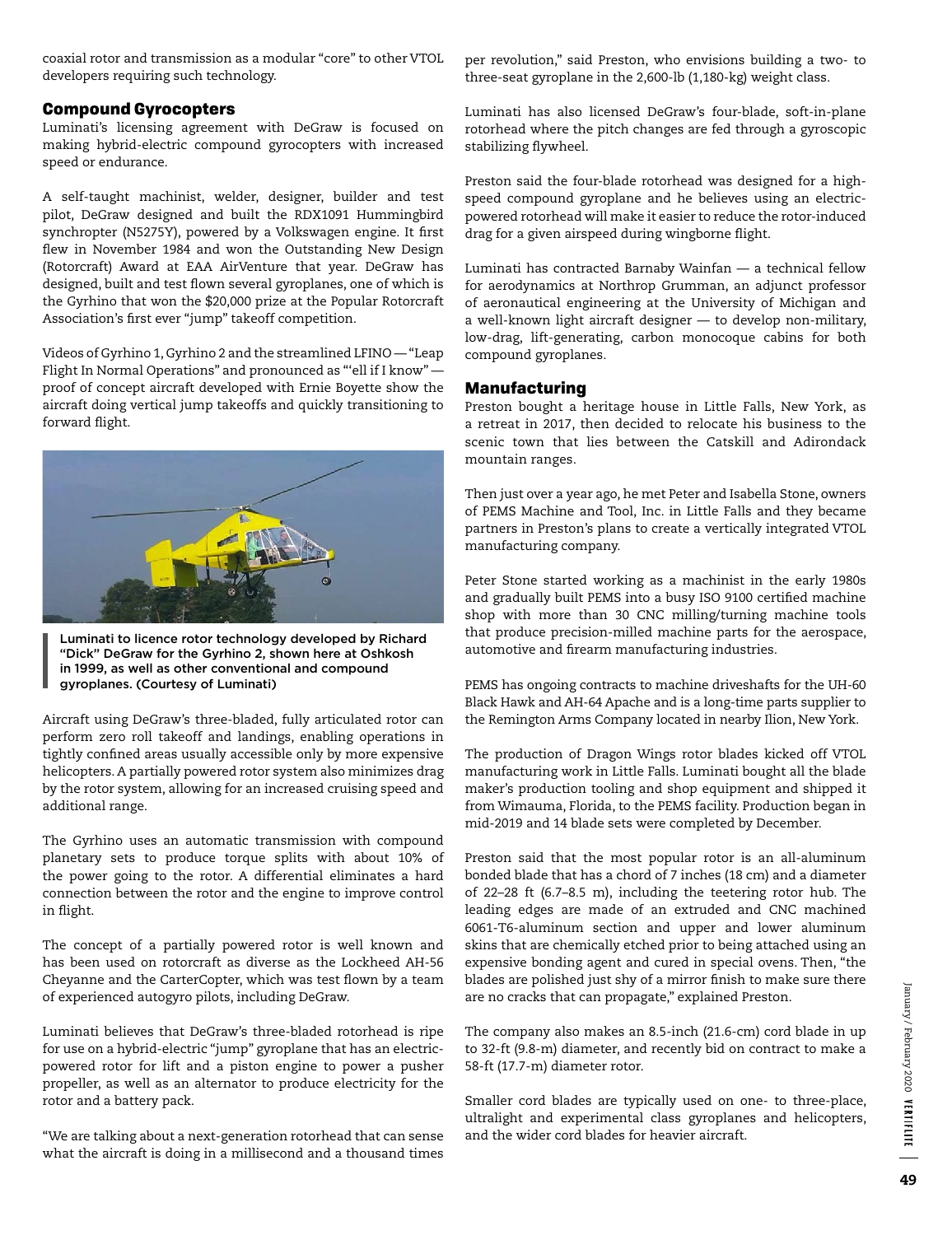coaxial rotor and transmission as a modular "core" to other VTOL developers requiring such technology.

#### Compound Gyrocopters

Luminati's licensing agreement with DeGraw is focused on making hybrid-electric compound gyrocopters with increased speed or endurance.

A self-taught machinist, welder, designer, builder and test pilot, DeGraw designed and built the RDX1091 Hummingbird synchropter (N5275Y), powered by a Volkswagen engine. It first flew in November 1984 and won the Outstanding New Design (Rotorcraft) Award at EAA AirVenture that year. DeGraw has designed, built and test flown several gyroplanes, one of which is the Gyrhino that won the \$20,000 prize at the Popular Rotorcraft Association's first ever "jump" takeoff competition.

Videos of Gyrhino 1, Gyrhino 2 and the streamlined LFINO — "Leap Flight In Normal Operations" and pronounced as "'ell if I know" proof of concept aircraft developed with Ernie Boyette show the aircraft doing vertical jump takeoffs and quickly transitioning to forward flight.



Luminati to licence rotor technology developed by Richard "Dick" DeGraw for the Gyrhino 2, shown here at Oshkosh in 1999, as well as other conventional and compound gyroplanes. (Courtesy of Luminati)

Aircraft using DeGraw's three-bladed, fully articulated rotor can perform zero roll takeoff and landings, enabling operations in tightly confined areas usually accessible only by more expensive helicopters. A partially powered rotor system also minimizes drag by the rotor system, allowing for an increased cruising speed and additional range.

The Gyrhino uses an automatic transmission with compound planetary sets to produce torque splits with about 10% of the power going to the rotor. A differential eliminates a hard connection between the rotor and the engine to improve control in flight.

The concept of a partially powered rotor is well known and has been used on rotorcraft as diverse as the Lockheed AH-56 Cheyanne and the CarterCopter, which was test flown by a team of experienced autogyro pilots, including DeGraw.

Luminati believes that DeGraw's three-bladed rotorhead is ripe for use on a hybrid-electric "jump" gyroplane that has an electricpowered rotor for lift and a piston engine to power a pusher propeller, as well as an alternator to produce electricity for the rotor and a battery pack.

"We are talking about a next-generation rotorhead that can sense what the aircraft is doing in a millisecond and a thousand times per revolution," said Preston, who envisions building a two- to three-seat gyroplane in the 2,600-lb (1,180-kg) weight class.

Luminati has also licensed DeGraw's four-blade, soft-in-plane rotorhead where the pitch changes are fed through a gyroscopic stabilizing flywheel.

Preston said the four-blade rotorhead was designed for a highspeed compound gyroplane and he believes using an electricpowered rotorhead will make it easier to reduce the rotor-induced drag for a given airspeed during wingborne flight.

Luminati has contracted Barnaby Wainfan — a technical fellow for aerodynamics at Northrop Grumman, an adjunct professor of aeronautical engineering at the University of Michigan and a well-known light aircraft designer — to develop non-military, low-drag, lift-generating, carbon monocoque cabins for both compound gyroplanes.

## Manufacturing

Preston bought a heritage house in Little Falls, New York, as a retreat in 2017, then decided to relocate his business to the scenic town that lies between the Catskill and Adirondack mountain ranges.

Then just over a year ago, he met Peter and Isabella Stone, owners of PEMS Machine and Tool, Inc. in Little Falls and they became partners in Preston's plans to create a vertically integrated VTOL manufacturing company.

Peter Stone started working as a machinist in the early 1980s and gradually built PEMS into a busy ISO 9100 certified machine shop with more than 30 CNC milling/turning machine tools that produce precision-milled machine parts for the aerospace, automotive and firearm manufacturing industries.

PEMS has ongoing contracts to machine driveshafts for the UH-60 Black Hawk and AH-64 Apache and is a long-time parts supplier to the Remington Arms Company located in nearby Ilion, New York.

The production of Dragon Wings rotor blades kicked off VTOL manufacturing work in Little Falls. Luminati bought all the blade maker's production tooling and shop equipment and shipped it from Wimauma, Florida, to the PEMS facility. Production began in mid-2019 and 14 blade sets were completed by December.

Preston said that the most popular rotor is an all-aluminum bonded blade that has a chord of 7 inches (18 cm) and a diameter of 22–28 ft (6.7–8.5 m), including the teetering rotor hub. The leading edges are made of an extruded and CNC machined 6061-T6-aluminum section and upper and lower aluminum skins that are chemically etched prior to being attached using an expensive bonding agent and cured in special ovens. Then, "the blades are polished just shy of a mirror finish to make sure there are no cracks that can propagate," explained Preston.

The company also makes an 8.5-inch (21.6-cm) cord blade in up to 32-ft (9.8-m) diameter, and recently bid on contract to make a 58-ft (17.7-m) diameter rotor.

Smaller cord blades are typically used on one- to three-place, ultralight and experimental class gyroplanes and helicopters, and the wider cord blades for heavier aircraft.